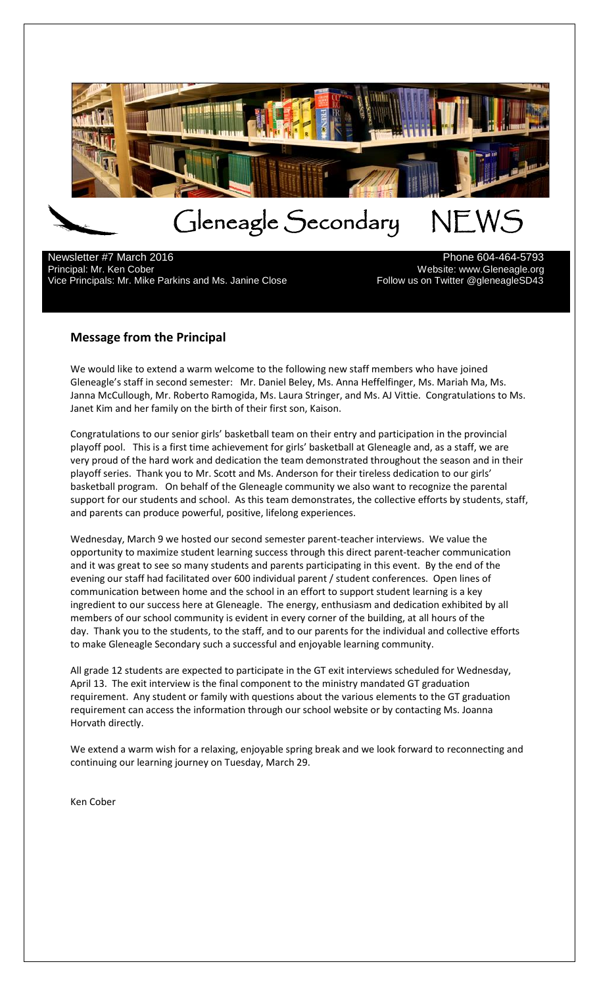

 $\overline{a}$ Newsletter #7 March 2016 **Phone 604-464-5793** Phone 604-464-5793 Principal: Mr. Ken Cober<br>13-Vice Principals: Mr. Mike Parkins and Ms. Janine Close Mechanics Mredicular Sylice Principals: Mr. Mike Par Vice Principals: Mr. Mike Parkins and Ms. Janine Close

# **Message from the Principal**

We would like to extend a warm welcome to the following new staff members who have joined Gleneagle's staff in second semester: Mr. Daniel Beley, Ms. Anna Heffelfinger, Ms. Mariah Ma, Ms. Janna McCullough, Mr. Roberto Ramogida, Ms. Laura Stringer, and Ms. AJ Vittie. Congratulations to Ms. Janet Kim and her family on the birth of their first son, Kaison.

Congratulations to our senior girls' basketball team on their entry and participation in the provincial playoff pool. This is a first time achievement for girls' basketball at Gleneagle and, as a staff, we are very proud of the hard work and dedication the team demonstrated throughout the season and in their playoff series. Thank you to Mr. Scott and Ms. Anderson for their tireless dedication to our girls' basketball program. On behalf of the Gleneagle community we also want to recognize the parental support for our students and school. As this team demonstrates, the collective efforts by students, staff, and parents can produce powerful, positive, lifelong experiences.

Wednesday, March 9 we hosted our second semester parent-teacher interviews. We value the opportunity to maximize student learning success through this direct parent-teacher communication and it was great to see so many students and parents participating in this event. By the end of the evening our staff had facilitated over 600 individual parent / student conferences. Open lines of communication between home and the school in an effort to support student learning is a key ingredient to our success here at Gleneagle. The energy, enthusiasm and dedication exhibited by all members of our school community is evident in every corner of the building, at all hours of the day. Thank you to the students, to the staff, and to our parents for the individual and collective efforts to make Gleneagle Secondary such a successful and enjoyable learning community.

All grade 12 students are expected to participate in the GT exit interviews scheduled for Wednesday, April 13. The exit interview is the final component to the ministry mandated GT graduation requirement. Any student or family with questions about the various elements to the GT graduation requirement can access the information through our school website or by contacting Ms. Joanna Horvath directly.

We extend a warm wish for a relaxing, enjoyable spring break and we look forward to reconnecting and continuing our learning journey on Tuesday, March 29.

Ken Cober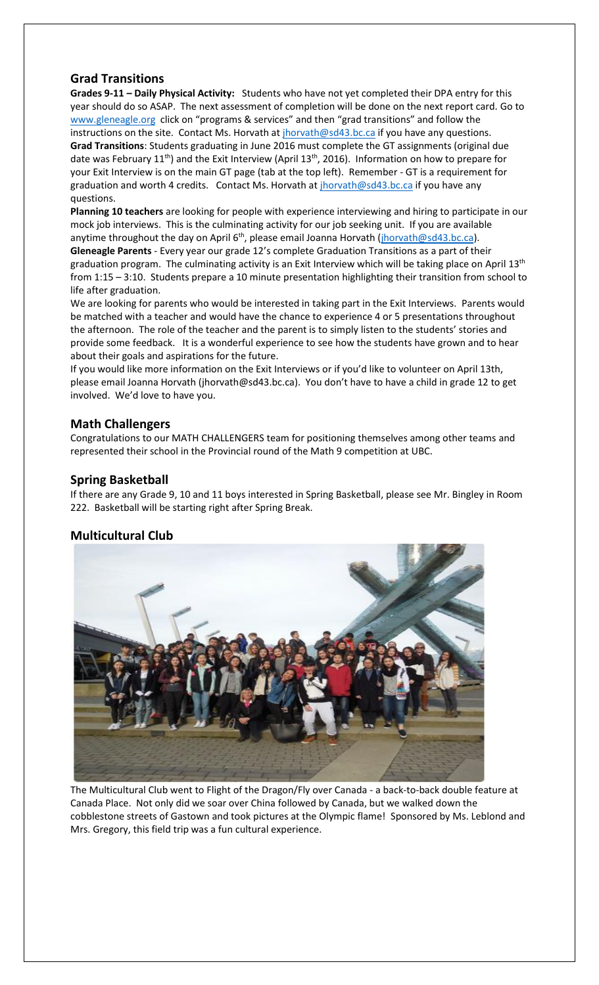## **Grad Transitions**

**Grades 9-11 – Daily Physical Activity:** Students who have not yet completed their DPA entry for this year should do so ASAP. The next assessment of completion will be done on the next report card. Go to [www.gleneagle.org](http://www.gleneagle.org/) click on "programs & services" and then "grad transitions" and follow the instructions on the site. Contact Ms. Horvath at *jhorvath@sd43.bc.ca* if you have any questions. **Grad Transitions**: Students graduating in June 2016 must complete the GT assignments (original due date was February 11<sup>th</sup>) and the Exit Interview (April 13<sup>th</sup>, 2016). Information on how to prepare for your Exit Interview is on the main GT page (tab at the top left). Remember - GT is a requirement for graduation and worth 4 credits. Contact Ms. Horvath at [jhorvath@sd43.bc.ca](mailto:jhorvath@sd43.bc.ca) if you have any questions.

**Planning 10 teachers** are looking for people with experience interviewing and hiring to participate in our mock job interviews. This is the culminating activity for our job seeking unit. If you are available anytime throughout the day on April  $6<sup>th</sup>$ , please email Joanna Horvath [\(jhorvath@sd43.bc.ca\)](mailto:jhorvath@sd43.bc.ca).

**Gleneagle Parents** - Every year our grade 12's complete Graduation Transitions as a part of their graduation program. The culminating activity is an Exit Interview which will be taking place on April 13<sup>th</sup> from 1:15 – 3:10. Students prepare a 10 minute presentation highlighting their transition from school to life after graduation.

We are looking for parents who would be interested in taking part in the Exit Interviews. Parents would be matched with a teacher and would have the chance to experience 4 or 5 presentations throughout the afternoon. The role of the teacher and the parent is to simply listen to the students' stories and provide some feedback. It is a wonderful experience to see how the students have grown and to hear about their goals and aspirations for the future.

If you would like more information on the Exit Interviews or if you'd like to volunteer on April 13th, please email Joanna Horvath [\(jhorvath@sd43.bc.ca](mailto:jhorvath@sd43.bc.ca)). You don't have to have a child in grade 12 to get involved. We'd love to have you.

## **Math Challengers**

Congratulations to our MATH CHALLENGERS team for positioning themselves among other teams and represented their school in the Provincial round of the Math 9 competition at UBC.

## **Spring Basketball**

If there are any Grade 9, 10 and 11 boys interested in Spring Basketball, please see Mr. Bingley in Room 222. Basketball will be starting right after Spring Break.

# **Multicultural Club**



The Multicultural Club went to Flight of the Dragon/Fly over Canada - a back-to-back double feature at Canada Place. Not only did we soar over China followed by Canada, but we walked down the cobblestone streets of Gastown and took pictures at the Olympic flame! Sponsored by Ms. Leblond and Mrs. Gregory, this field trip was a fun cultural experience.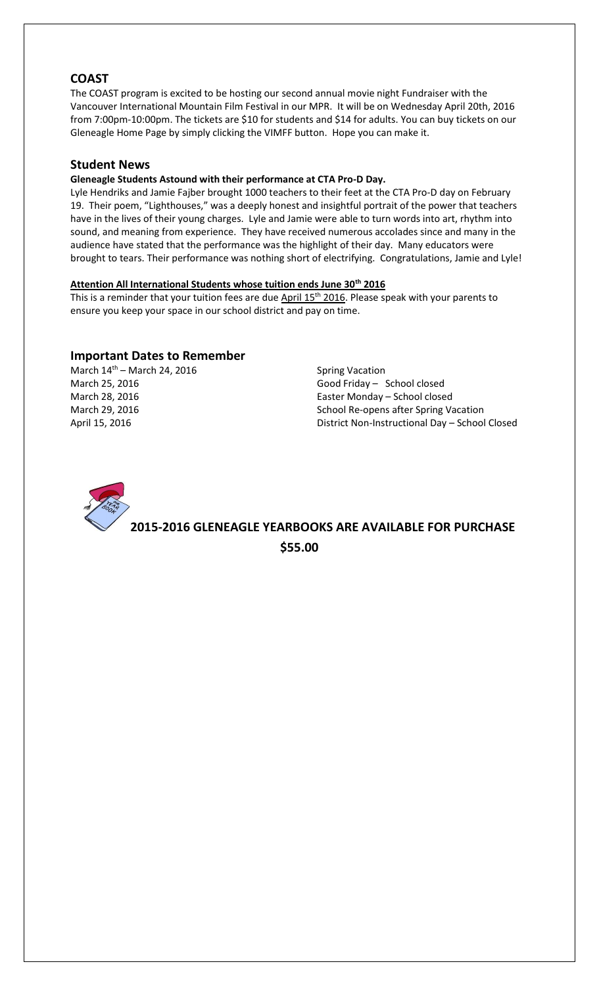### **COAST**

The COAST program is excited to be hosting our second annual movie night Fundraiser with the Vancouver International Mountain Film Festival in our MPR. It will be on Wednesday April 20th, 2016 from 7:00pm-10:00pm. The tickets are \$10 for students and \$14 for adults. You can buy tickets on our Gleneagle Home Page by simply clicking the VIMFF button. Hope you can make it.

#### **Student News**

#### **Gleneagle Students Astound with their performance at CTA Pro-D Day.**

Lyle Hendriks and Jamie Fajber brought 1000 teachers to their feet at the CTA Pro-D day on February 19. Their poem, "Lighthouses," was a deeply honest and insightful portrait of the power that teachers have in the lives of their young charges. Lyle and Jamie were able to turn words into art, rhythm into sound, and meaning from experience. They have received numerous accolades since and many in the audience have stated that the performance was the highlight of their day. Many educators were brought to tears. Their performance was nothing short of electrifying. Congratulations, Jamie and Lyle!

#### **Attention All International Students whose tuition ends June 30th 2016**

This is a reminder that your tuition fees are due April 15<sup>th</sup> 2016. Please speak with your parents to ensure you keep your space in our school district and pay on time.

#### **Important Dates to Remember**

March  $14<sup>th</sup>$  – March 24, 2016 Spring Vacation

March 25, 2016 Good Friday – School closed March 28, 2016 Easter Monday – School closed March 29, 2016 **School Re-opens after Spring Vacation** School Re-opens after Spring Vacation April 15, 2016 District Non-Instructional Day – School Closed



**2015-2016 GLENEAGLE YEARBOOKS ARE AVAILABLE FOR PURCHASE \$55.00**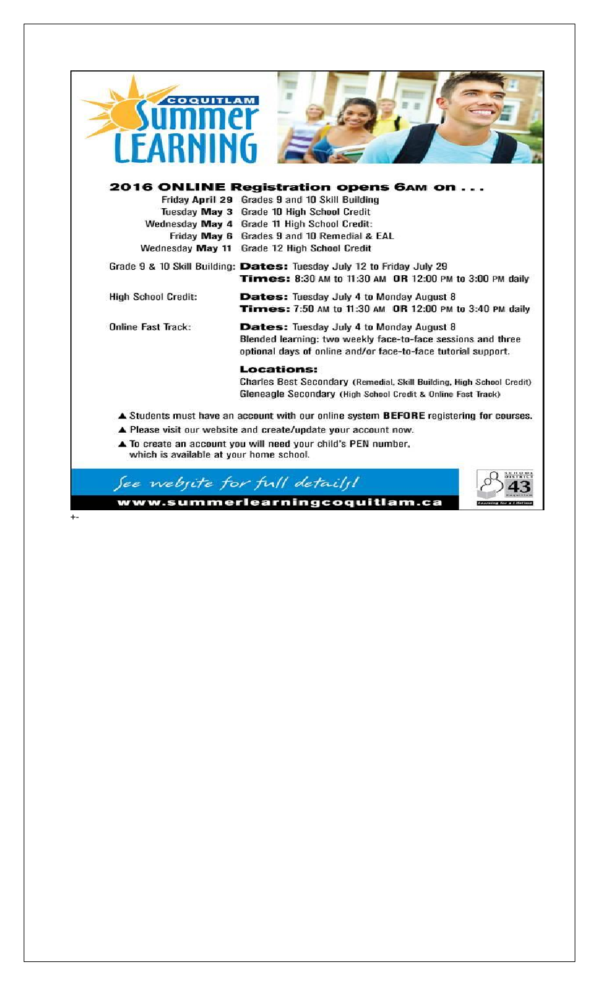